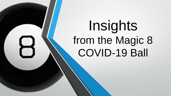# Insights from the Magic 8 COVID-19 Ball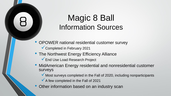## Magic 8 Ball Information Sources

- OPOWER national residential customer survey
	- ✓Completed in February 2021
- The Northwest Energy Efficiency Alliance
	- ✓End Use Load Research Project
- MidAmerican Energy residential and nonresidential customer surveys
	- ◆ Most surveys completed in the Fall of 2020, including nonparticipants
	- $\checkmark$  A few completed in the Fall of 2021
- Other information based on an industry scan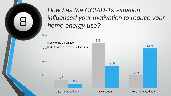## *How has the COVID-19 situation influenced your motivation to reduce your home energy use?*

80%

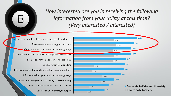*How interested are you in receiving the following information from your utility at this time? (Very Interested / Interested)*

Updates on utility employee support General utility emails about COVID-19 response Updates on actions your utility is taking in the community Information about your hourly home energy usage Information on customer billing assistance programs/efforts Options for payment or billing Promotions for home energy-saving programs Notifications that you on track for a higher than normal bill Information about your overall home energy usage Tips on ways to save energy in your home Special tips on how to reduce home energy use during the day

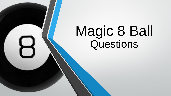# Magic 8 Ball Questions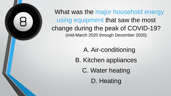What was the major household energy using equipment that saw the most change during the peak of COVID-19? (mid-March 2020 through December 2020)

A. Air-conditioning

B. Kitchen appliances

C. Water heating

D. Heating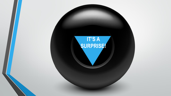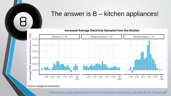## The answer is B – kitchen appliances!

**Increased Average Electricity Demand From the Kitchen** 



Source: Evergreen Economics.

<https://neea.org/img/documents/COVID19-Impact-on-Energy-Use-NW-EULR-Project.pdf>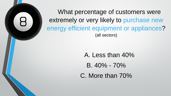What percentage of customers were extremely or very likely to purchase new energy efficient equipment or appliances? (all sectors)

> A. Less than 40%  $B.40\% - 70\%$ C. More than 70%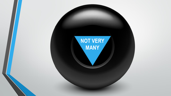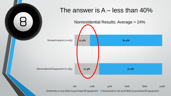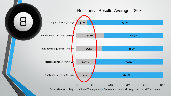

Extremely or very likely to purchase EE equipment Somewhat or not at all likely to purchase EE equipment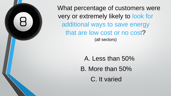What percentage of customers were very or extremely likely to look for additional ways to save energy that are low cost or no cost? (all sectors)

> A. Less than 50% B. More than 50% C. It varied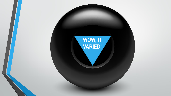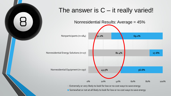

## The answer is  $C - it$  really varied!



■ Somewhat or not at all likely to look for low or no cost ways to save energy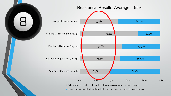

#### Residential Results: Average = 55%



Somewhat or not at all likely to look for low or no cost ways to save energy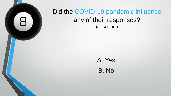

### Did the COVID-19 pandemic influence any of their responses? (all sectors)

## A. Yes B. No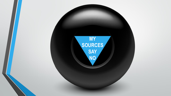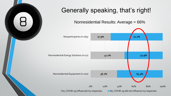

## Generally speaking, that's right!

Nonresidential Results: Average = 66%

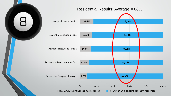

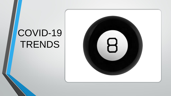## COVID-19 TRENDS

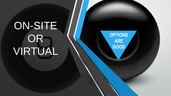# ON-SITE OR VIRTUAL

**OPTIONS ARE GOOD**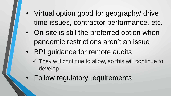- Virtual option good for geography/ drive time issues, contractor performance, etc.
- On-site is still the preferred option when pandemic restrictions aren't an issue
- BPI guidance for remote audits
	- $\checkmark$  They will continue to allow, so this will continue to develop
- Follow regulatory requirements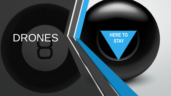# DRONES **WERE TO** STAY

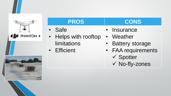

**CJI** PHANTOM 4



- Safe
- Helps with rooftop limitations
- Efficient

#### **PROS CONS**

- Insurance
- Weather
- Battery storage
- FAA requirements ✓ Spotter
	- ✓ No-fly-zones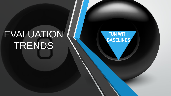## EVALUATION TRENDS

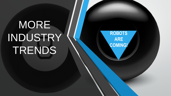# MORE INDUSTRY TRENDS

**ROBOTS ARE COMING!**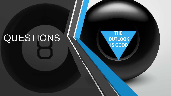# QUESTIONS **WE ARRAN**